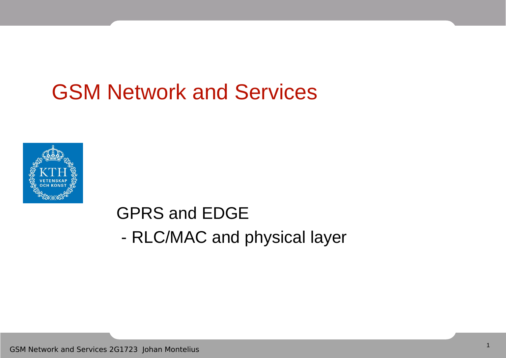#### GSM Network and Services



#### GPRS and EDGE - RLC/MAC and physical layer

GSM Network and Services 2G1723 Johan Montelius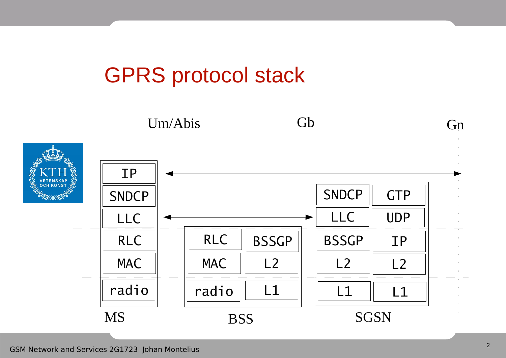#### GPRS protocol stack

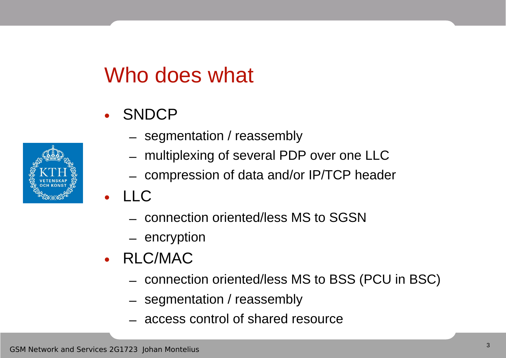## Who does what

- SNDCP
- 
- segmentation / reassembly
- multiplexing of several PDP over one LLC
- compression of data and/or IP/TCP header
- LLC
	- connection oriented/less MS to SGSN
	- encryption
- RLC/MAC
	- connection oriented/less MS to BSS (PCU in BSC)
	- segmentation / reassembly
	- access control of shared resource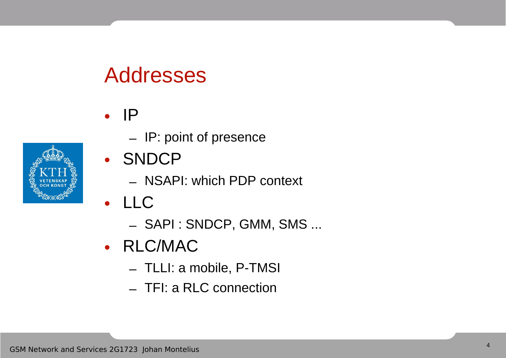#### Addresses



- IP: point of presence
- SNDCP
	- NSAPI: which PDP context
- LLC
	- SAPI : SNDCP, GMM, SMS ...
- RLC/MAC
	- TLLI: a mobile, P-TMSI
	- TFI: a RLC connection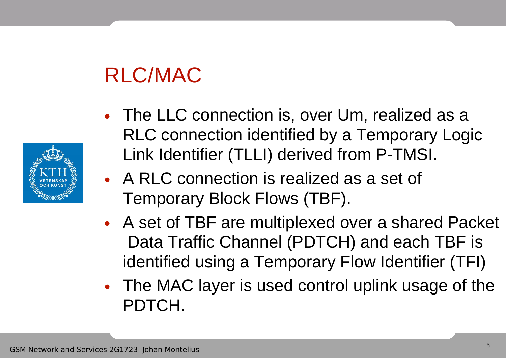# RLC/MAC

- 
- The LLC connection is, over Um, realized as a RLC connection identified by a Temporary Logic Link Identifier (TLLI) derived from P-TMSI.
- A RLC connection is realized as a set of Temporary Block Flows (TBF).
- A set of TBF are multiplexed over a shared Packet Data Traffic Channel (PDTCH) and each TBF is identified using a Temporary Flow Identifier (TFI)
- The MAC layer is used control uplink usage of the PDTCH.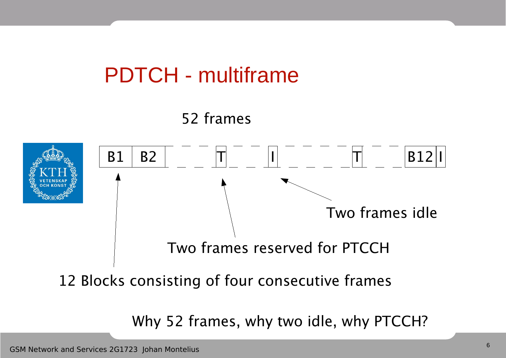



12 Blocks consisting of four consecutive frames

Why 52 frames, why two idle, why PTCCH?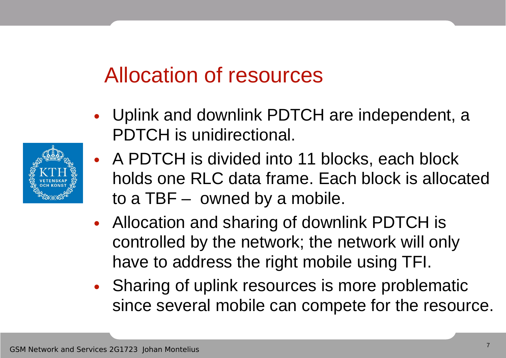## Allocation of resources

- Uplink and downlink PDTCH are independent, a PDTCH is unidirectional.
- A PDTCH is divided into 11 blocks, each block holds one RLC data frame. Each block is allocated to a TBF – owned by a mobile.
- Allocation and sharing of downlink PDTCH is controlled by the network; the network will only have to address the right mobile using TFI.
- Sharing of uplink resources is more problematic since several mobile can compete for the resource.

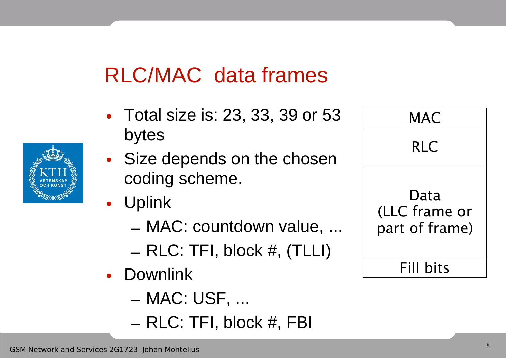## RLC/MAC data frames

- Total size is: 23, 33, 39 or 53 bytes
- Size depends on the chosen coding scheme.
- Uplink
	- MAC: countdown value, ...
	- RLC: TFI, block #, (TLLI)
- Downlink
	- MAC: USF, ...
	- RLC: TFI, block #, FBI

| <b>RLC</b>                              |
|-----------------------------------------|
| Data<br>(LLC frame or<br>part of frame) |
| Fill bits                               |

**MAC** 

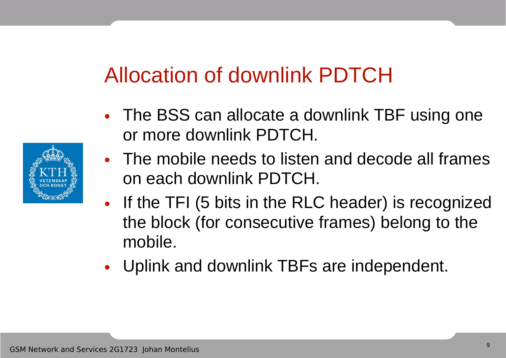## Allocation of downlink PDTCH

- The BSS can allocate a downlink TBF using one or more downlink PDTCH.
- The mobile needs to listen and decode all frames on each downlink PDTCH.
- If the TFI (5 bits in the RLC header) is recognized the block (for consecutive frames) belong to the mobile.
- Uplink and downlink TBFs are independent.

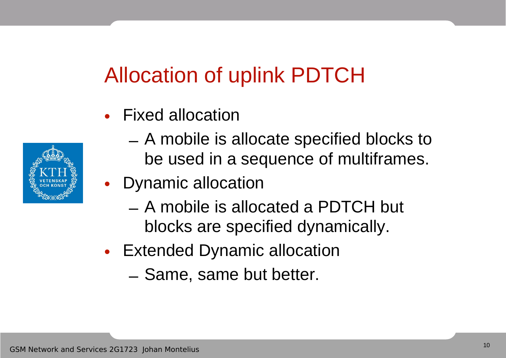## Allocation of uplink PDTCH

• Fixed allocation



- A mobile is allocate specified blocks to be used in a sequence of multiframes.
- Dynamic allocation
	- A mobile is allocated a PDTCH but blocks are specified dynamically.
- Extended Dynamic allocation
	- Same, same but better.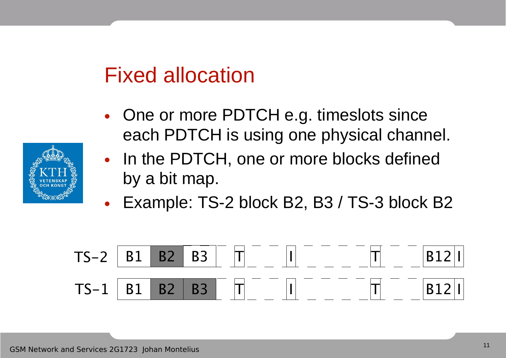#### Fixed allocation

- One or more PDTCH e.g. timeslots since each PDTCH is using one physical channel.
- In the PDTCH, one or more blocks defined by a bit map.
- Example: TS-2 block B2, B3 / TS-3 block B2



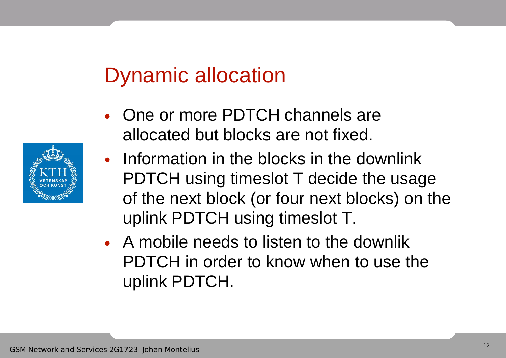## Dynamic allocation

- One or more PDTCH channels are allocated but blocks are not fixed.
- Information in the blocks in the downlink PDTCH using timeslot T decide the usage of the next block (or four next blocks) on the uplink PDTCH using timeslot T.
- A mobile needs to listen to the downlik PDTCH in order to know when to use the uplink PDTCH.

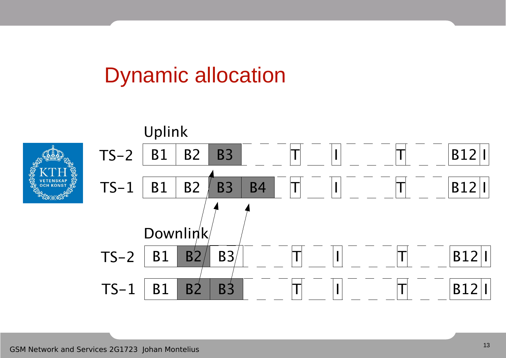## Dynamic allocation

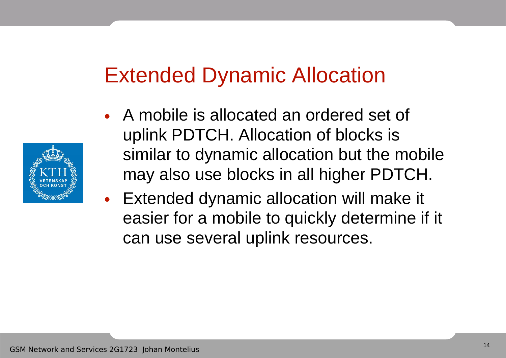#### Extended Dynamic Allocation

- A mobile is allocated an ordered set of uplink PDTCH. Allocation of blocks is similar to dynamic allocation but the mobile may also use blocks in all higher PDTCH.
- Extended dynamic allocation will make it easier for a mobile to quickly determine if it can use several uplink resources.

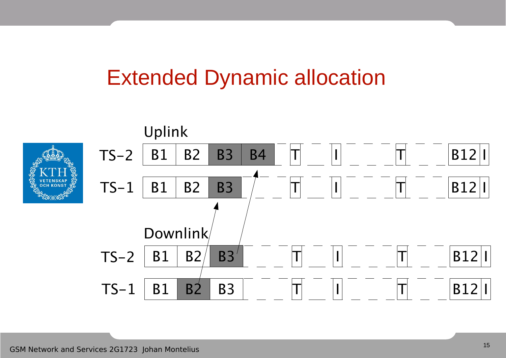#### Extended Dynamic allocation

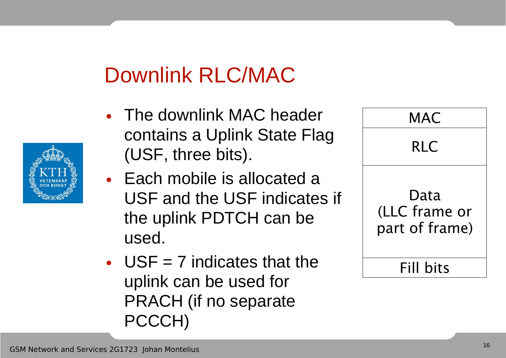# Downlink RLC/MAC

- The downlink MAC header contains a Uplink State Flag (USF, three bits).
- Each mobile is allocated a USF and the USF indicates if the uplink PDTCH can be used.
- $USF = 7$  indicates that the uplink can be used for PRACH (if no separate PCCCH)

| MAC                                     |
|-----------------------------------------|
| <b>RLC</b>                              |
| Data<br>(LLC frame or<br>part of frame) |
| Fill bits                               |

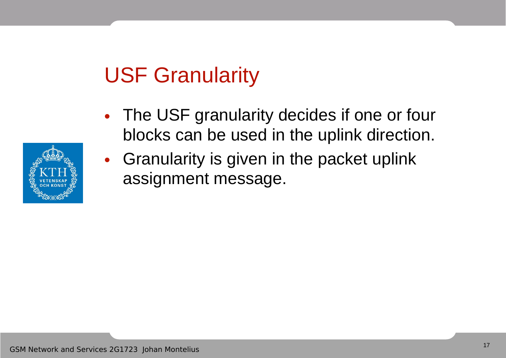## USF Granularity

- The USF granularity decides if one or four blocks can be used in the uplink direction.
- Granularity is given in the packet uplink assignment message.

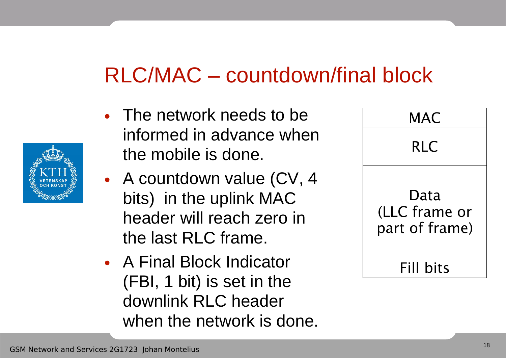## RLC/MAC – countdown/final block

- The network needs to be informed in advance when the mobile is done.
- A countdown value (CV, 4 bits) in the uplink MAC header will reach zero in the last RLC frame.
- A Final Block Indicator (FBI, 1 bit) is set in the downlink RLC header when the network is done.

| MAC                                     |  |
|-----------------------------------------|--|
| <b>RLC</b>                              |  |
| Data<br>(LLC frame or<br>part of frame) |  |
| Fill bits                               |  |

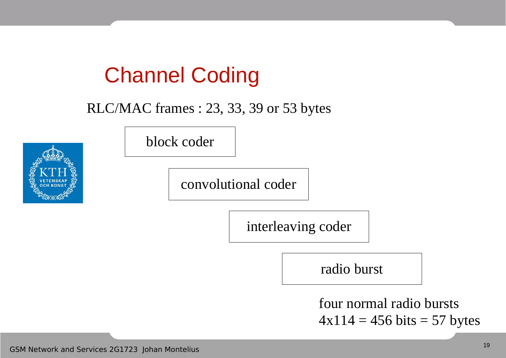## Channel Coding

#### RLC/MAC frames : 23, 33, 39 or 53 bytes



block coder

convolutional coder

interleaving coder

radio burst

four normal radio bursts  $4x114 = 456 \text{ bits} = 57 \text{ bytes}$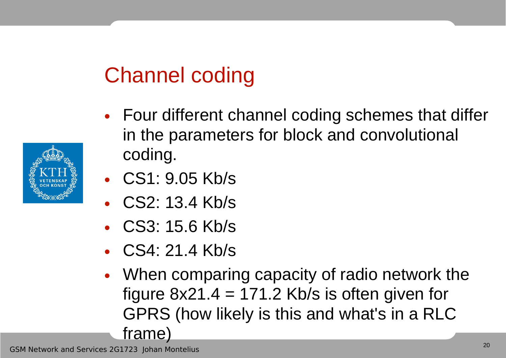## Channel coding

- Four different channel coding schemes that differ in the parameters for block and convolutional coding.
- CS1: 9.05 Kb/s
- CS2: 13.4 Kb/s
- CS3: 15.6 Kb/s
- CS4: 21.4 Kb/s
- When comparing capacity of radio network the figure  $8x21.4 = 171.2$  Kb/s is often given for GPRS (how likely is this and what's in a RLC frame)

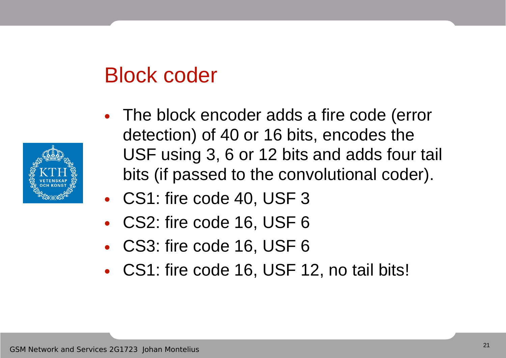## Block coder

- 
- The block encoder adds a fire code (error detection) of 40 or 16 bits, encodes the USF using 3, 6 or 12 bits and adds four tail bits (if passed to the convolutional coder).
- CS1: fire code 40, USF 3
- CS2: fire code 16, USF 6
- CS3: fire code 16, USF 6
- CS1: fire code 16, USF 12, no tail bits!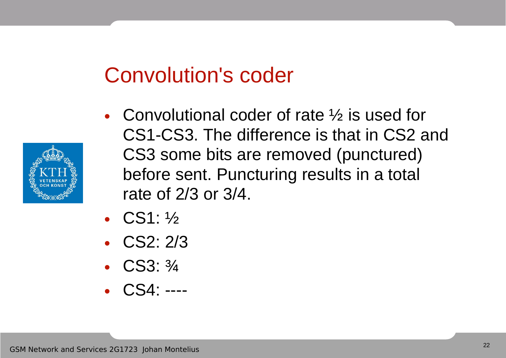#### Convolution's coder

- 
- Convolutional coder of rate  $\frac{1}{2}$  is used for CS1-CS3. The difference is that in CS2 and CS3 some bits are removed (punctured) before sent. Puncturing results in a total rate of 2/3 or 3/4.
- CS1: 1/2
- CS2: 2/3
- CS3: 3/4
- CS4: ----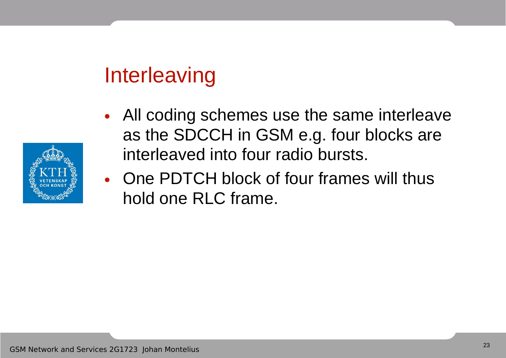## **Interleaving**

- All coding schemes use the same interleave as the SDCCH in GSM e.g. four blocks are interleaved into four radio bursts.
- One PDTCH block of four frames will thus hold one RLC frame.

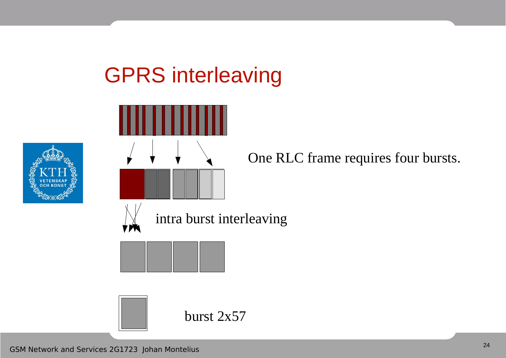# GPRS interleaving





One RLC frame requires four bursts.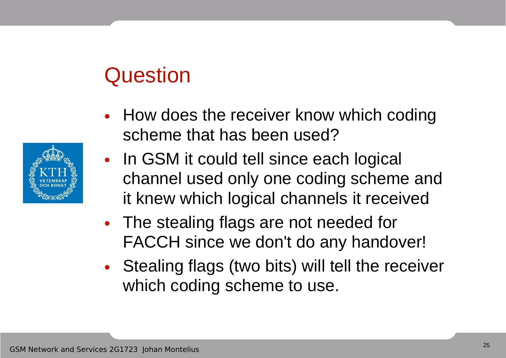## **Question**

- How does the receiver know which coding scheme that has been used?
- In GSM it could tell since each logical channel used only one coding scheme and it knew which logical channels it received
- The stealing flags are not needed for FACCH since we don't do any handover!
- Stealing flags (two bits) will tell the receiver which coding scheme to use.

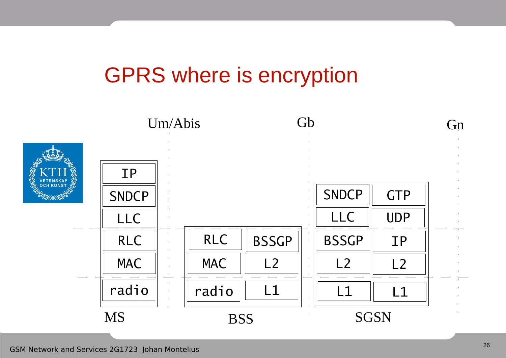#### GPRS where is encryption

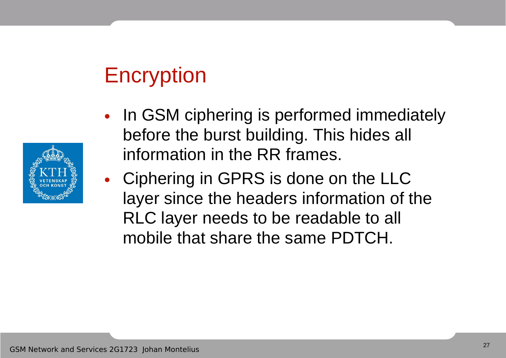## Encryption



• Ciphering in GPRS is done on the LLC layer since the headers information of the RLC layer needs to be readable to all mobile that share the same PDTCH.

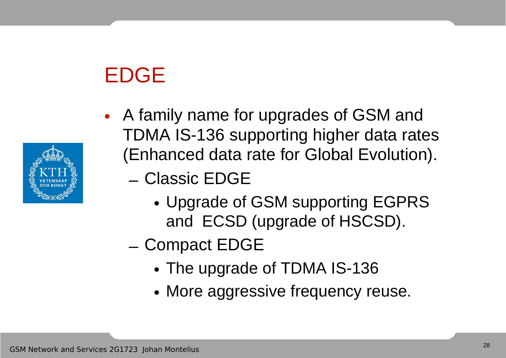# EDGE



- A family name for upgrades of GSM and TDMA IS-136 supporting higher data rates (Enhanced data rate for Global Evolution).
	- Classic EDGE
		- Upgrade of GSM supporting EGPRS and ECSD (upgrade of HSCSD).
	- Compact EDGE
		- The upgrade of TDMA IS-136
		- More aggressive frequency reuse.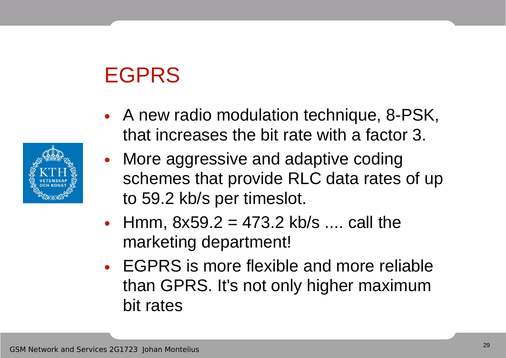## EGPRS

- A new radio modulation technique, 8-PSK, that increases the bit rate with a factor 3.
- More aggressive and adaptive coding schemes that provide RLC data rates of up to 59.2 kb/s per timeslot.
- Hmm,  $8x59.2 = 473.2$  kb/s .... call the marketing department!
- EGPRS is more flexible and more reliable than GPRS. It's not only higher maximum bit rates

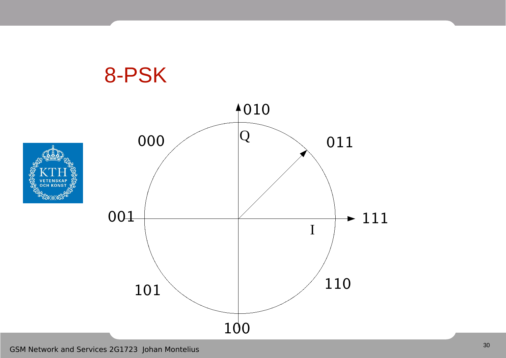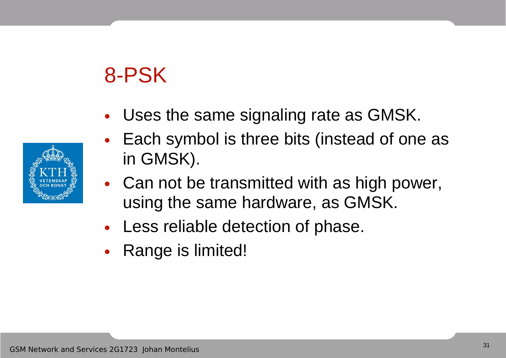## 8-PSK

- Uses the same signaling rate as GMSK.
- Each symbol is three bits (instead of one as in GMSK).
- Can not be transmitted with as high power, using the same hardware, as GMSK.
- Less reliable detection of phase.
- Range is limited!

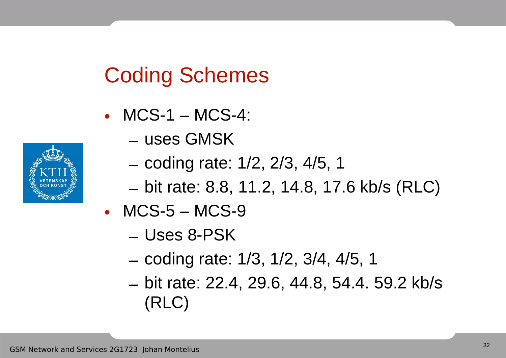## Coding Schemes

- MCS-1 MCS-4:
	- uses GMSK
	- coding rate: 1/2, 2/3, 4/5, 1
	- bit rate: 8.8, 11.2, 14.8, 17.6 kb/s (RLC)
- MCS-5 MCS-9
	- Uses 8-PSK
	- coding rate: 1/3, 1/2, 3/4, 4/5, 1
	- bit rate: 22.4, 29.6, 44.8, 54.4. 59.2 kb/s (RLC)

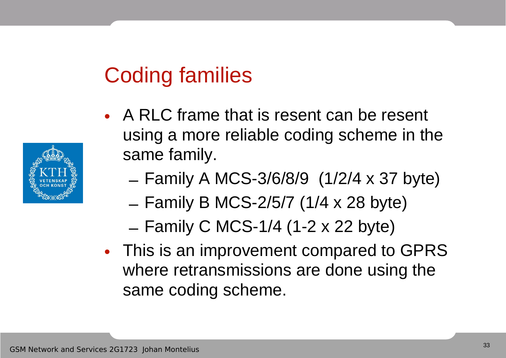## Coding families

- A RLC frame that is resent can be resent using a more reliable coding scheme in the same family.
	- Family A MCS-3/6/8/9 (1/2/4 x 37 byte)
	- Family B MCS-2/5/7 (1/4 x 28 byte)
	- Family C MCS-1/4 (1-2 x 22 byte)
- This is an improvement compared to GPRS where retransmissions are done using the same coding scheme.